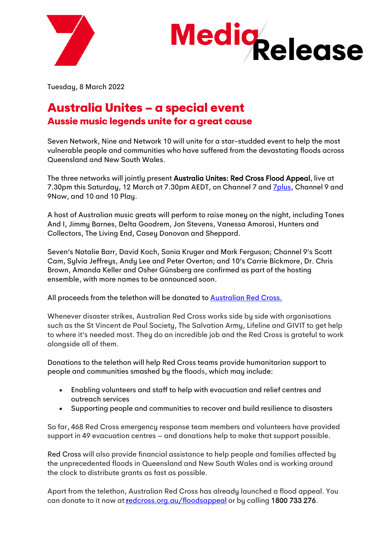



Tuesday, 8 March 2022

## Australia Unites – a special event Aussie music legends unite for a great cause

Seven Network, Nine and Network 10 will unite for a star-studded event to help the most vulnerable people and communities who have suffered from the devastating floods across Queensland and New South Wales.

The three networks will jointly present Australia Unites: Red Cross Flood Appeal, live at 7.30pm this Saturday, 12 March at 7.30pm AEDT, on Channel 7 and **7 plus**, Channel 9 and 9Now, and 10 and 10 Play.

A host of Australian music greats will perform to raise money on the night, including Tones And I, Jimmy Barnes, Delta Goodrem, Jon Stevens, Vanessa Amorosi, Hunters and Collectors, The Living End, Casey Donovan and Sheppard.

Seven's Natalie Barr, David Koch, Sonia Kruger and Mark Ferguson; Channel 9's Scott Cam, Sylvia Jeffreys, Andy Lee and Peter Overton; and 10's Carrie Bickmore, Dr. Chris Brown, Amanda Keller and Osher Günsberg are confirmed as part of the hosting ensemble, with more names to be announced soon.

All proceeds from the telethon will be donated to **Australian Red Cross.** 

Whenever disaster strikes, Australian Red Cross works side by side with organisations such as the St Vincent de Paul Society, The Salvation Army, Lifeline and GIVIT to get help to where it's needed most. They do an incredible job and the Red Cross is grateful to work alongside all of them.

Donations to the telethon will help Red Cross teams provide humanitarian support to people and communities smashed by the floods, which may include:

- Enabling volunteers and staff to help with evacuation and relief centres and outreach services
- Supporting people and communities to recover and build resilience to disasters

So far, 468 Red Cross emergency response team members and volunteers have provided support in 49 evacuation centres – and donations help to make that support possible.

Red Cross will also provide financial assistance to help people and families affected by the unprecedented floods in Queensland and New South Wales and is working around the clock to distribute grants as fast as possible.

Apart from the telethon, Australian Red Cross has already launched a flood appeal. You can donate to it now at redcross.org.au/floodsappeal or by calling 1800 733 276.